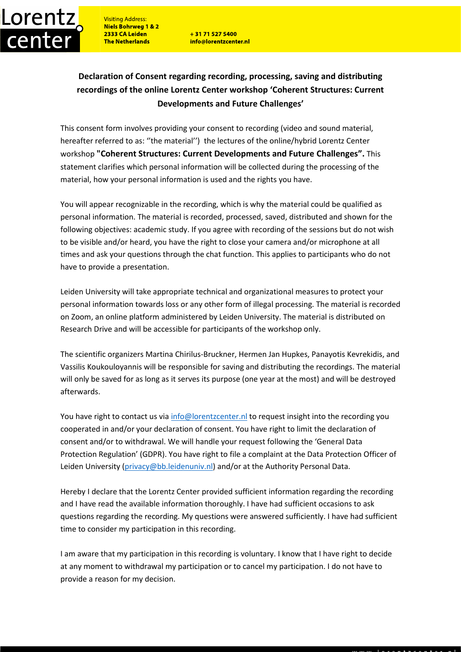**Visiting Address:** Niels Bohrweg 1 & 2 2333 CA Leiden **The Netherlands** 

Lorentz

center

+31 71 527 5400 info@lorentzcenter.nl

## **Declaration of Consent regarding recording, processing, saving and distributing recordings of the online Lorentz Center workshop 'Coherent Structures: Current Developments and Future Challenges'**

This consent form involves providing your consent to recording (video and sound material, hereafter referred to as: ''the material'') the lectures of the online/hybrid Lorentz Center workshop **"Coherent Structures: Current Developments and Future Challenges".** This statement clarifies which personal information will be collected during the processing of the material, how your personal information is used and the rights you have.

You will appear recognizable in the recording, which is why the material could be qualified as personal information. The material is recorded, processed, saved, distributed and shown for the following objectives: academic study. If you agree with recording of the sessions but do not wish to be visible and/or heard, you have the right to close your camera and/or microphone at all times and ask your questions through the chat function. This applies to participants who do not have to provide a presentation.

Leiden University will take appropriate technical and organizational measures to protect your personal information towards loss or any other form of illegal processing. The material is recorded on Zoom, an online platform administered by Leiden University. The material is distributed on Research Drive and will be accessible for participants of the workshop only.

The scientific organizers Martina Chirilus-Bruckner, Hermen Jan Hupkes, Panayotis Kevrekidis, and Vassilis Koukouloyannis will be responsible for saving and distributing the recordings. The material will only be saved for as long as it serves its purpose (one year at the most) and will be destroyed afterwards.

You have right to contact us vi[a info@lorentzcenter.nl](mailto:info@lorentzcenter.nl) to request insight into the recording you cooperated in and/or your declaration of consent. You have right to limit the declaration of consent and/or to withdrawal. We will handle your request following the 'General Data Protection Regulation' (GDPR). You have right to file a complaint at the Data Protection Officer of Leiden University [\(privacy@bb.leidenuniv.nl\)](mailto:privacy@bb.leidenuniv.nl) and/or at the Authority Personal Data.

Hereby I declare that the Lorentz Center provided sufficient information regarding the recording and I have read the available information thoroughly. I have had sufficient occasions to ask questions regarding the recording. My questions were answered sufficiently. I have had sufficient time to consider my participation in this recording.

I am aware that my participation in this recording is voluntary. I know that I have right to decide at any moment to withdrawal my participation or to cancel my participation. I do not have to provide a reason for my decision.